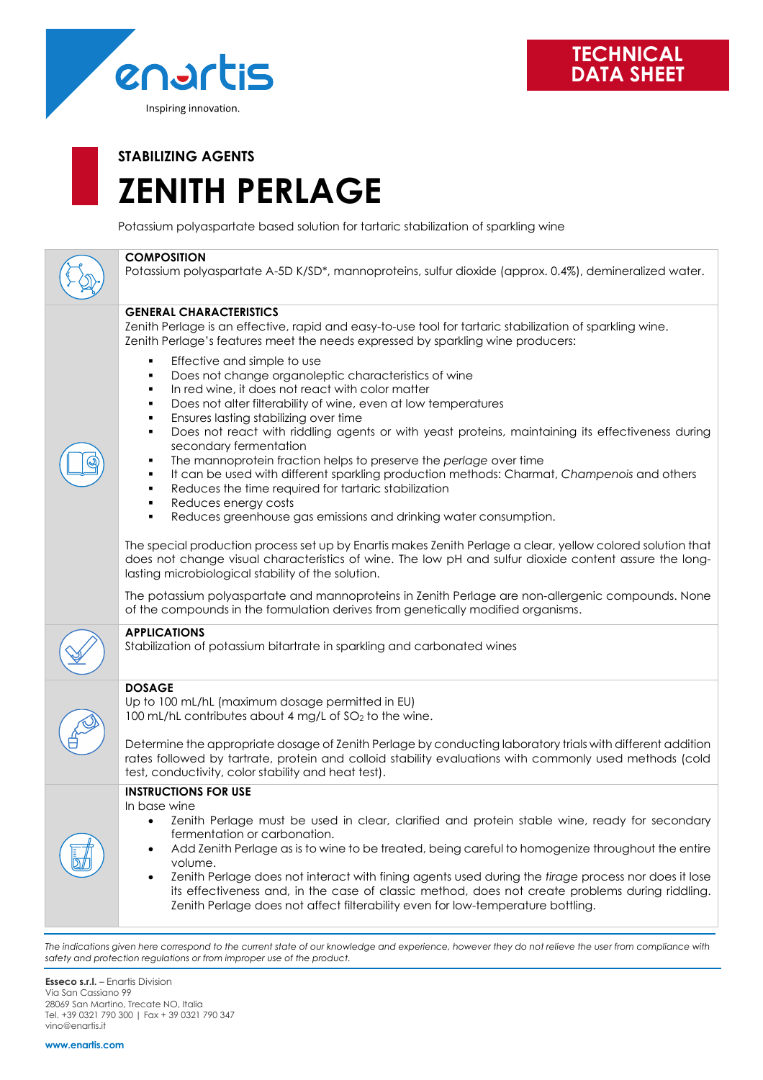

# **STABILIZING AGENTS ZENITH PERLAGE**

Potassium polyaspartate based solution for tartaric stabilization of sparkling wine



#### **COMPOSITION**

Potassium polyaspartate A-5D K/SD\*, mannoproteins, sulfur dioxide (approx. 0.4%), demineralized water.

#### **GENERAL CHARACTERISTICS**

Zenith Perlage is an effective, rapid and easy-to-use tool for tartaric stabilization of sparkling wine. Zenith Perlage's features meet the needs expressed by sparkling wine producers:

- Effective and simple to use
- Does not change organoleptic characteristics of wine
- In red wine, it does not react with color matter
- Does not alter filterability of wine, even at low temperatures
- Ensures lasting stabilizing over time
- Does not react with riddling agents or with yeast proteins, maintaining its effectiveness during secondary fermentation
- The mannoprotein fraction helps to preserve the *perlage* over time
- It can be used with different sparkling production methods: Charmat, *Champenois* and others
- Reduces the time required for tartaric stabilization
- Reduces energy costs
- Reduces greenhouse gas emissions and drinking water consumption.

The special production process set up by Enartis makes Zenith Perlage a clear, yellow colored solution that does not change visual characteristics of wine. The low pH and sulfur dioxide content assure the longlasting microbiological stability of the solution.

The potassium polyaspartate and mannoproteins in Zenith Perlage are non-allergenic compounds. None of the compounds in the formulation derives from genetically modified organisms.

#### **APPLICATIONS**

Stabilization of potassium bitartrate in sparkling and carbonated wines

### **DOSAGE**

Up to 100 mL/hL (maximum dosage permitted in EU) 100 mL/hL contributes about 4 mg/L of SO<sub>2</sub> to the wine.

Determine the appropriate dosage of Zenith Perlage by conducting laboratory trials with different addition rates followed by tartrate, protein and colloid stability evaluations with commonly used methods (cold test, conductivity, color stability and heat test).

## **INSTRUCTIONS FOR USE**

In base wine

- Zenith Perlage must be used in clear, clarified and protein stable wine, ready for secondary fermentation or carbonation.
- Add Zenith Perlage as is to wine to be treated, being careful to homogenize throughout the entire volume.
- Zenith Perlage does not interact with fining agents used during the *tirage* process nor does it lose its effectiveness and, in the case of classic method, does not create problems during riddling. Zenith Perlage does not affect filterability even for low-temperature bottling.

The indications given here correspond to the current state of our knowledge and experience, however they do not relieve the user from compliance with *safety and protection regulations or from improper use of the product.*

**Esseco s.r.l.** – Enartis Division Via San Cassiano 99 28069 San Martino, Trecate NO, Italia Tel. +39 0321 790 300 | Fax + 39 0321 790 347 vino@enartis.it